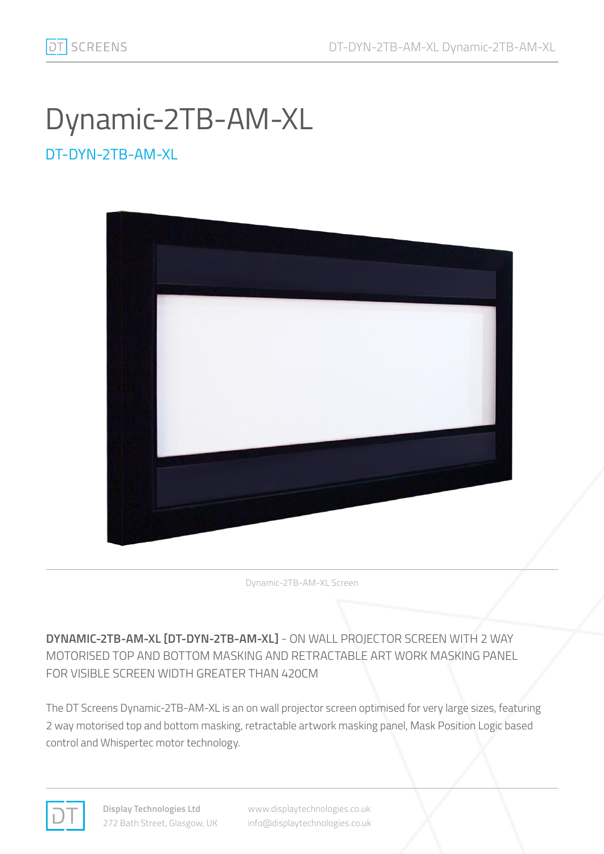## Dynamic-2TB-AM-XL

DT-DYN-2TB-AM-XL



Dynamic-2TB-AM-XL Screen

**DYNAMIC-2TB-AM-XL [DT-DYN-2TB-AM-XL]** - ON WALL PROJECTOR SCREEN WITH 2 WAY MOTORISED TOP AND BOTTOM MASKING AND RETRACTABLE ART WORK MASKING PANEL FOR VISIBLE SCREEN WIDTH GREATER THAN 420CM

The DT Screens Dynamic-2TB-AM-XL is an on wall projector screen optimised for very large sizes, featuring 2 way motorised top and bottom masking, retractable artwork masking panel, Mask Position Logic based control and Whispertec motor technology.



**Display Technologies Ltd** 272 Bath Street, Glasgow, UK www.displaytechnologies.co.uk info@displaytechnologies.co.uk